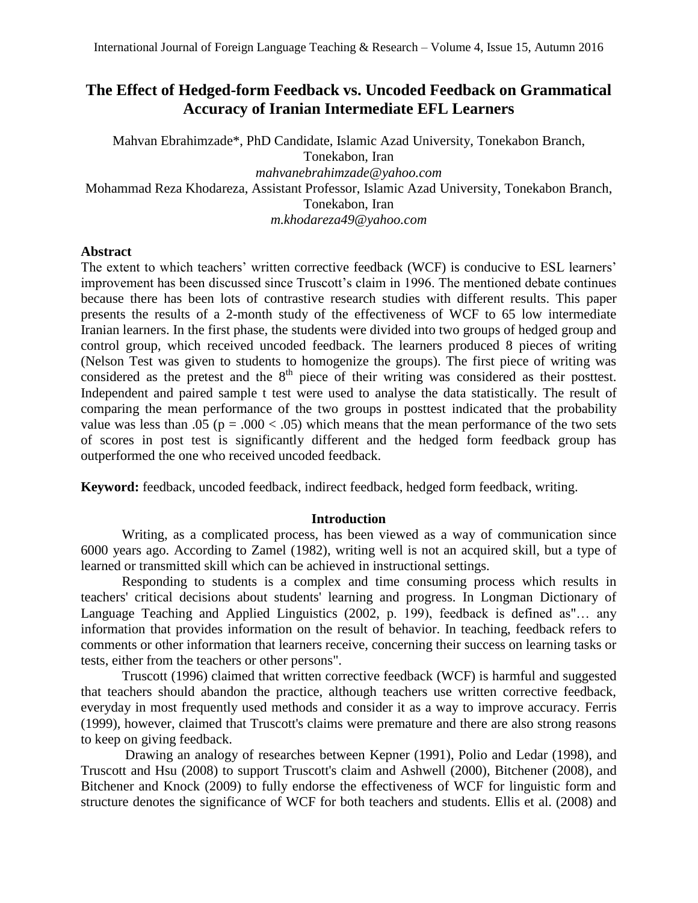# **The Effect of Hedged-form Feedback vs. Uncoded Feedback on Grammatical Accuracy of Iranian Intermediate EFL Learners**

Mahvan Ebrahimzade\*, PhD Candidate, Islamic Azad University, Tonekabon Branch, Tonekabon, Iran *[mahvanebrahimzade@yahoo.com](mailto:mahvanebrahimzade@yahoo.com)* Mohammad Reza Khodareza, Assistant Professor, Islamic Azad University, Tonekabon Branch, Tonekabon, Iran *[m.khodareza49@yahoo.com](mailto:m.khodareza49@yahoo.com)*

# **Abstract**

The extent to which teachers' written corrective feedback (WCF) is conducive to ESL learners' improvement has been discussed since Truscott's claim in 1996. The mentioned debate continues because there has been lots of contrastive research studies with different results. This paper presents the results of a 2-month study of the effectiveness of WCF to 65 low intermediate Iranian learners. In the first phase, the students were divided into two groups of hedged group and control group, which received uncoded feedback. The learners produced 8 pieces of writing (Nelson Test was given to students to homogenize the groups). The first piece of writing was considered as the pretest and the 8<sup>th</sup> piece of their writing was considered as their posttest. Independent and paired sample t test were used to analyse the data statistically. The result of comparing the mean performance of the two groups in posttest indicated that the probability value was less than .05 ( $p = .000 < .05$ ) which means that the mean performance of the two sets of scores in post test is significantly different and the hedged form feedback group has outperformed the one who received uncoded feedback.

**Keyword:** feedback, uncoded feedback, indirect feedback, hedged form feedback, writing.

# **Introduction**

Writing, as a complicated process, has been viewed as a way of communication since 6000 years ago. According to Zamel (1982), writing well is not an acquired skill, but a type of learned or transmitted skill which can be achieved in instructional settings.

 Responding to students is a complex and time consuming process which results in teachers' critical decisions about students' learning and progress. In Longman Dictionary of Language Teaching and Applied Linguistics (2002, p. 199), feedback is defined as"… any information that provides information on the result of behavior. In teaching, feedback refers to comments or other information that learners receive, concerning their success on learning tasks or tests, either from the teachers or other persons".

 Truscott (1996) claimed that written corrective feedback (WCF) is harmful and suggested that teachers should abandon the practice, although teachers use written corrective feedback, everyday in most frequently used methods and consider it as a way to improve accuracy. Ferris (1999), however, claimed that Truscott's claims were premature and there are also strong reasons to keep on giving feedback.

 Drawing an analogy of researches between Kepner (1991), Polio and Ledar (1998), and Truscott and Hsu (2008) to support Truscott's claim and Ashwell (2000), Bitchener (2008), and Bitchener and Knock (2009) to fully endorse the effectiveness of WCF for linguistic form and structure denotes the significance of WCF for both teachers and students. Ellis et al. (2008) and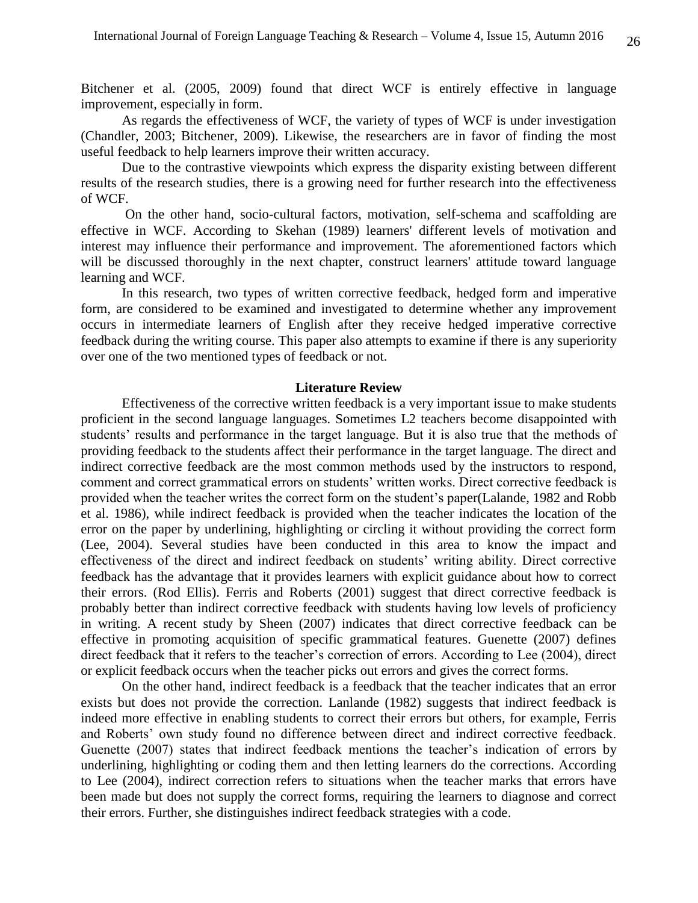Bitchener et al. (2005, 2009) found that direct WCF is entirely effective in language improvement, especially in form.

 As regards the effectiveness of WCF, the variety of types of WCF is under investigation (Chandler, 2003; Bitchener, 2009). Likewise, the researchers are in favor of finding the most useful feedback to help learners improve their written accuracy.

 Due to the contrastive viewpoints which express the disparity existing between different results of the research studies, there is a growing need for further research into the effectiveness of WCF.

 On the other hand, socio-cultural factors, motivation, self-schema and scaffolding are effective in WCF. According to Skehan (1989) learners' different levels of motivation and interest may influence their performance and improvement. The aforementioned factors which will be discussed thoroughly in the next chapter, construct learners' attitude toward language learning and WCF.

 In this research, two types of written corrective feedback, hedged form and imperative form, are considered to be examined and investigated to determine whether any improvement occurs in intermediate learners of English after they receive hedged imperative corrective feedback during the writing course. This paper also attempts to examine if there is any superiority over one of the two mentioned types of feedback or not.

#### **Literature Review**

Effectiveness of the corrective written feedback is a very important issue to make students proficient in the second language languages. Sometimes L2 teachers become disappointed with students' results and performance in the target language. But it is also true that the methods of providing feedback to the students affect their performance in the target language. The direct and indirect corrective feedback are the most common methods used by the instructors to respond, comment and correct grammatical errors on students' written works. Direct corrective feedback is provided when the teacher writes the correct form on the student's paper(Lalande, 1982 and Robb et al. 1986), while indirect feedback is provided when the teacher indicates the location of the error on the paper by underlining, highlighting or circling it without providing the correct form (Lee, 2004). Several studies have been conducted in this area to know the impact and effectiveness of the direct and indirect feedback on students' writing ability. Direct corrective feedback has the advantage that it provides learners with explicit guidance about how to correct their errors. (Rod Ellis). Ferris and Roberts (2001) suggest that direct corrective feedback is probably better than indirect corrective feedback with students having low levels of proficiency in writing. A recent study by Sheen (2007) indicates that direct corrective feedback can be effective in promoting acquisition of specific grammatical features. Guenette (2007) defines direct feedback that it refers to the teacher's correction of errors. According to Lee (2004), direct or explicit feedback occurs when the teacher picks out errors and gives the correct forms.

On the other hand, indirect feedback is a feedback that the teacher indicates that an error exists but does not provide the correction. Lanlande (1982) suggests that indirect feedback is indeed more effective in enabling students to correct their errors but others, for example, Ferris and Roberts' own study found no difference between direct and indirect corrective feedback. Guenette (2007) states that indirect feedback mentions the teacher's indication of errors by underlining, highlighting or coding them and then letting learners do the corrections. According to Lee (2004), indirect correction refers to situations when the teacher marks that errors have been made but does not supply the correct forms, requiring the learners to diagnose and correct their errors. Further, she distinguishes indirect feedback strategies with a code.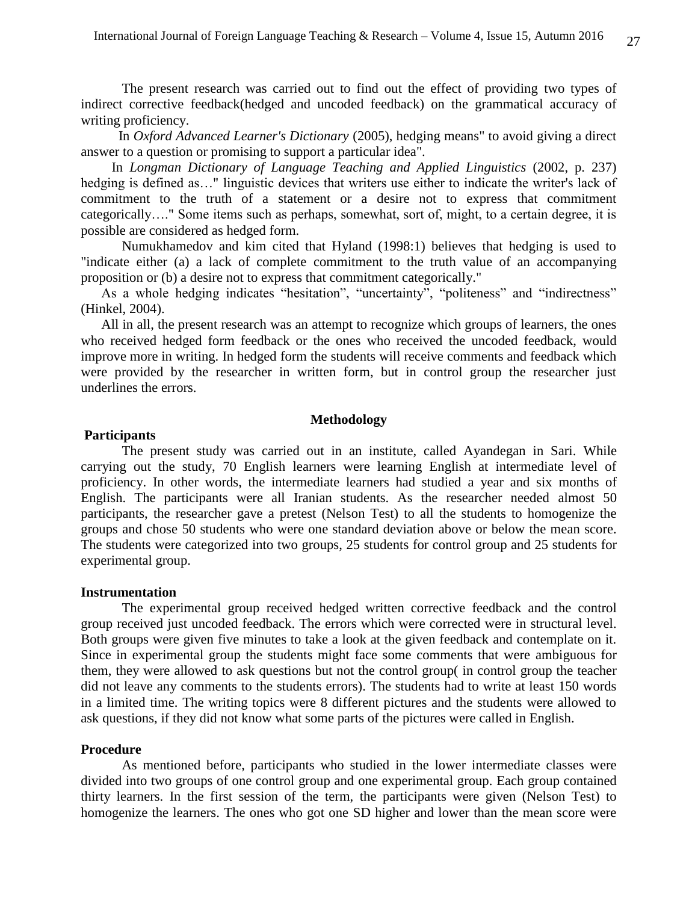The present research was carried out to find out the effect of providing two types of indirect corrective feedback(hedged and uncoded feedback) on the grammatical accuracy of writing proficiency.

 In *Oxford Advanced Learner's Dictionary* (2005), hedging means" to avoid giving a direct answer to a question or promising to support a particular idea".

 In *Longman Dictionary of Language Teaching and Applied Linguistics* (2002, p. 237) hedging is defined as..." linguistic devices that writers use either to indicate the writer's lack of commitment to the truth of a statement or a desire not to express that commitment categorically…." Some items such as perhaps, somewhat, sort of, might, to a certain degree, it is possible are considered as hedged form.

 Numukhamedov and kim cited that Hyland (1998:1) believes that hedging is used to "indicate either (a) a lack of complete commitment to the truth value of an accompanying proposition or (b) a desire not to express that commitment categorically."

 As a whole hedging indicates "hesitation", "uncertainty", "politeness" and "indirectness" (Hinkel, 2004).

All in all, the present research was an attempt to recognize which groups of learners, the ones who received hedged form feedback or the ones who received the uncoded feedback, would improve more in writing. In hedged form the students will receive comments and feedback which were provided by the researcher in written form, but in control group the researcher just underlines the errors.

## **Methodology**

# **Participants**

 The present study was carried out in an institute, called Ayandegan in Sari. While carrying out the study, 70 English learners were learning English at intermediate level of proficiency. In other words, the intermediate learners had studied a year and six months of English. The participants were all Iranian students. As the researcher needed almost 50 participants, the researcher gave a pretest (Nelson Test) to all the students to homogenize the groups and chose 50 students who were one standard deviation above or below the mean score. The students were categorized into two groups, 25 students for control group and 25 students for experimental group.

## **Instrumentation**

The experimental group received hedged written corrective feedback and the control group received just uncoded feedback. The errors which were corrected were in structural level. Both groups were given five minutes to take a look at the given feedback and contemplate on it. Since in experimental group the students might face some comments that were ambiguous for them, they were allowed to ask questions but not the control group( in control group the teacher did not leave any comments to the students errors). The students had to write at least 150 words in a limited time. The writing topics were 8 different pictures and the students were allowed to ask questions, if they did not know what some parts of the pictures were called in English.

#### **Procedure**

As mentioned before, participants who studied in the lower intermediate classes were divided into two groups of one control group and one experimental group. Each group contained thirty learners. In the first session of the term, the participants were given (Nelson Test) to homogenize the learners. The ones who got one SD higher and lower than the mean score were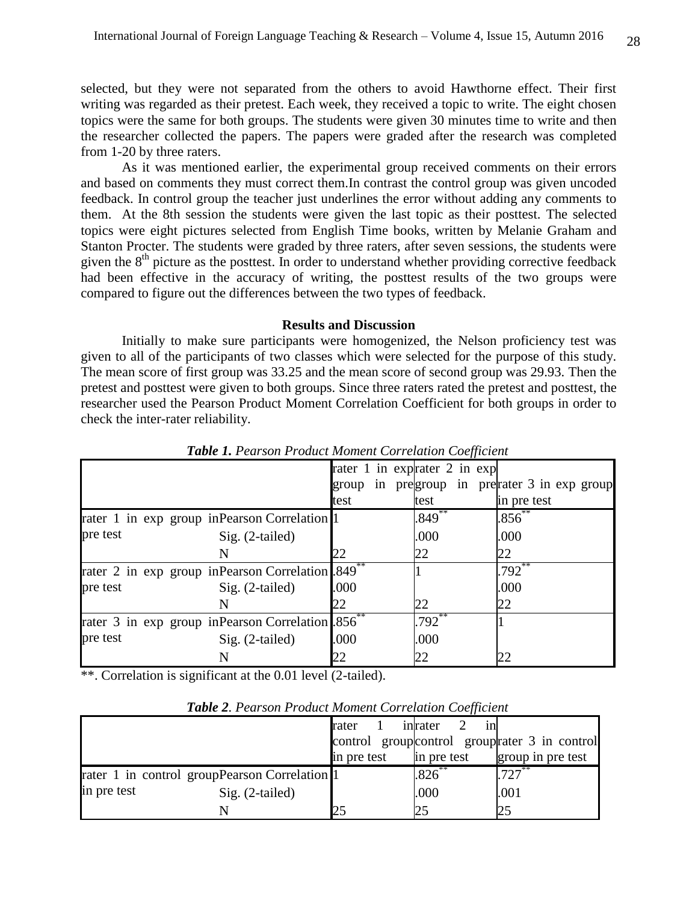selected, but they were not separated from the others to avoid Hawthorne effect. Their first writing was regarded as their pretest. Each week, they received a topic to write. The eight chosen topics were the same for both groups. The students were given 30 minutes time to write and then the researcher collected the papers. The papers were graded after the research was completed from 1-20 by three raters.

As it was mentioned earlier, the experimental group received comments on their errors and based on comments they must correct them.In contrast the control group was given uncoded feedback. In control group the teacher just underlines the error without adding any comments to them. At the 8th session the students were given the last topic as their posttest. The selected topics were eight pictures selected from English Time books, written by Melanie Graham and Stanton Procter. The students were graded by three raters, after seven sessions, the students were given the  $8<sup>th</sup>$  picture as the posttest. In order to understand whether providing corrective feedback had been effective in the accuracy of writing, the posttest results of the two groups were compared to figure out the differences between the two types of feedback.

#### **Results and Discussion**

Initially to make sure participants were homogenized, the Nelson proficiency test was given to all of the participants of two classes which were selected for the purpose of this study. The mean score of first group was 33.25 and the mean score of second group was 29.93. Then the pretest and posttest were given to both groups. Since three raters rated the pretest and posttest, the researcher used the Pearson Product Moment Correlation Coefficient for both groups in order to check the inter-rater reliability.

|          |                                                              |       | JJ                           |                                         |
|----------|--------------------------------------------------------------|-------|------------------------------|-----------------------------------------|
|          |                                                              |       | rater 1 in exprater 2 in exp |                                         |
|          |                                                              | group |                              | in pregroup in pretrater 3 in exp group |
|          |                                                              | test  | test                         | in pre test                             |
|          | rater 1 in exp group in Pearson Correlation 1                |       | $.849***$                    | $.856^{**}$                             |
| pre test | Sig. (2-tailed)                                              |       | .000                         | .000                                    |
|          |                                                              | 22    | 22                           | 22                                      |
|          | rater 2 in exp group inPearson Correlation 849 <sup>**</sup> |       |                              | $.792^{**}$                             |
| pre test | Sig. (2-tailed)                                              | .000  |                              | .000                                    |
|          |                                                              | 22    | 22                           | 22                                      |
|          | rater 3 in exp group inPearson Correlation 856 <sup>**</sup> |       | $.792^{**}$                  |                                         |
| pre test | Sig. (2-tailed)                                              | .000  | .000                         |                                         |
|          |                                                              | 22    | 22                           | 22                                      |

*Table 1. Pearson Product Moment Correlation Coefficient*

\*\*. Correlation is significant at the 0.01 level (2-tailed).

|             | $\sim$ word $\sim$ . The case of $\sim$ is a control formal control to complete the |             |             |                                                |
|-------------|-------------------------------------------------------------------------------------|-------------|-------------|------------------------------------------------|
|             |                                                                                     | rater       | inrater     | control group control group rater 3 in control |
|             |                                                                                     | in pre test | in pre test | group in pre test                              |
|             | rater 1 in control groupPearson Correlation 1                                       |             | $1.826***$  | $1.727***$                                     |
| in pre test | $Sig. (2-tailed)$                                                                   |             | .000        | .001                                           |
|             | N                                                                                   |             |             |                                                |

*Table 2. Pearson Product Moment Correlation Coefficient*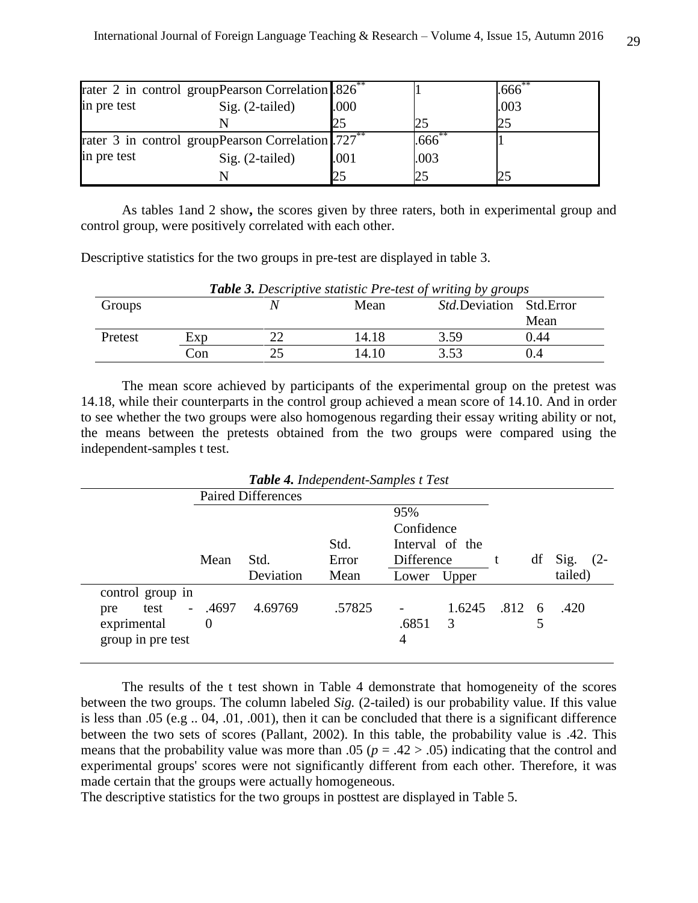|             | rater 2 in control groupPearson Correlation .826 <sup>**</sup> |      |      | .666 <sup>°</sup> |
|-------------|----------------------------------------------------------------|------|------|-------------------|
| in pre test | Sig. $(2-tailed)$<br>.000                                      |      |      | .003              |
|             |                                                                | 25   |      |                   |
|             | rater 3 in control groupPearson Correlation 727 <sup>**</sup>  |      | .666 |                   |
| in pre test | $Sig. (2-tailed)$                                              | .001 | .003 |                   |
|             |                                                                | 25   |      |                   |

As tables 1and 2 show**,** the scores given by three raters, both in experimental group and control group, were positively correlated with each other.

Descriptive statistics for the two groups in pre-test are displayed in table 3.

| <b>Table 3.</b> Descriptive statistic Pre-test of writing by groups |     |    |       |                                  |      |  |  |
|---------------------------------------------------------------------|-----|----|-------|----------------------------------|------|--|--|
| Groups                                                              |     |    | Mean  | <i>Std.</i> Deviation Std. Error |      |  |  |
|                                                                     |     |    |       |                                  | Mean |  |  |
| Pretest                                                             | Exp |    | 14.18 | 3.59                             | 0.44 |  |  |
|                                                                     | Con | つち | 14.10 | 3.53                             |      |  |  |

The mean score achieved by participants of the experimental group on the pretest was 14.18, while their counterparts in the control group achieved a mean score of 14.10. And in order to see whether the two groups were also homogenous regarding their essay writing ability or not, the means between the pretests obtained from the two groups were compared using the independent-samples t test.

|                               |          |                           | <b>Table 4.</b> Independent-Samples t Test |            |                 |               |    |         |        |
|-------------------------------|----------|---------------------------|--------------------------------------------|------------|-----------------|---------------|----|---------|--------|
|                               |          | <b>Paired Differences</b> |                                            |            |                 |               |    |         |        |
|                               |          |                           |                                            | 95%        |                 |               |    |         |        |
|                               |          |                           |                                            | Confidence |                 |               |    |         |        |
|                               |          |                           | Std.                                       |            | Interval of the |               |    |         |        |
|                               | Mean     | Std.                      | Error                                      | Difference |                 |               | df | Sig.    | $(2 -$ |
|                               |          |                           |                                            |            |                 |               |    |         |        |
|                               |          | Deviation                 | Mean                                       | Lower      | Upper           |               |    | tailed) |        |
| control group in              |          |                           |                                            |            |                 |               |    |         |        |
| test<br>$\blacksquare$<br>pre | .4697    | 4.69769                   | .57825                                     |            | 1.6245          | $.812\quad 6$ |    | .420    |        |
| exprimental                   | $\theta$ |                           |                                            | .6851      | 3               |               |    |         |        |
| group in pre test             |          |                           |                                            | 4          |                 |               |    |         |        |

The results of the t test shown in Table 4 demonstrate that homogeneity of the scores between the two groups. The column labeled *Sig.* (2-tailed) is our probability value. If this value is less than .05 (e.g .. 04, .01, .001), then it can be concluded that there is a significant difference between the two sets of scores (Pallant, 2002). In this table, the probability value is .42. This means that the probability value was more than .05 ( $p = .42 > .05$ ) indicating that the control and experimental groups' scores were not significantly different from each other. Therefore, it was made certain that the groups were actually homogeneous.

The descriptive statistics for the two groups in posttest are displayed in Table 5.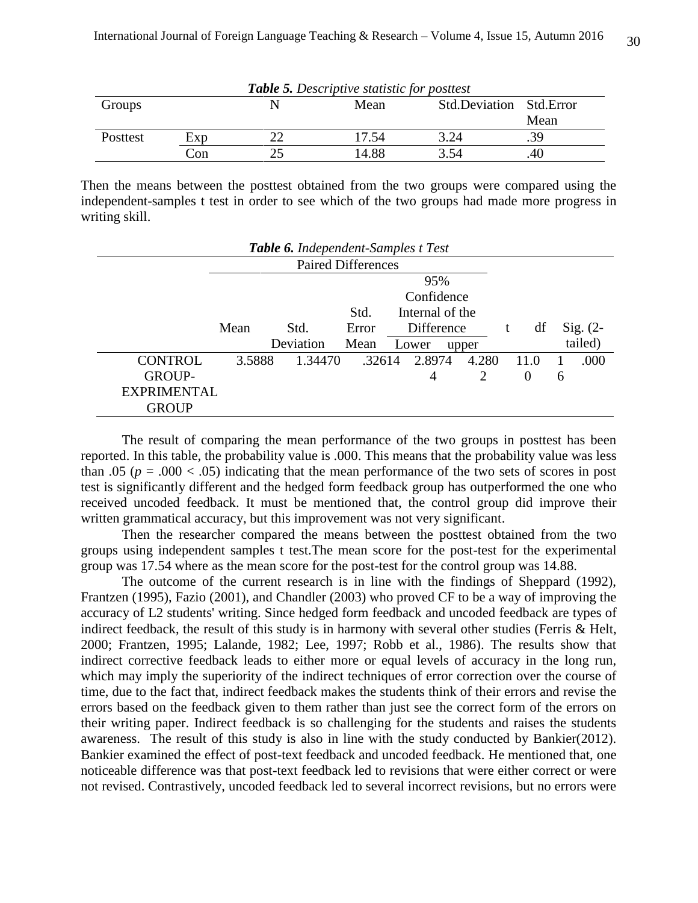| <b>Table 5.</b> Descriptive statistic for posttest |     |  |       |                         |      |  |  |  |
|----------------------------------------------------|-----|--|-------|-------------------------|------|--|--|--|
| Groups                                             |     |  | Mean  | Std.Deviation Std.Error |      |  |  |  |
|                                                    |     |  |       |                         | Mean |  |  |  |
| Posttest                                           | Exp |  | 17.54 | 3.24                    |      |  |  |  |
|                                                    | Con |  | 14.88 | 3.54                    | 40   |  |  |  |

Then the means between the posttest obtained from the two groups were compared using the independent-samples t test in order to see which of the two groups had made more progress in writing skill.

| Table 6. Independent-Samples t Test |                   |           |        |            |                |       |          |   |            |
|-------------------------------------|-------------------|-----------|--------|------------|----------------|-------|----------|---|------------|
| <b>Paired Differences</b>           |                   |           |        |            |                |       |          |   |            |
|                                     | 95%               |           |        |            |                |       |          |   |            |
|                                     | Confidence        |           |        |            |                |       |          |   |            |
| Internal of the<br>Std.             |                   |           |        |            |                |       |          |   |            |
|                                     | Std.<br>Mean      |           | Error  | Difference |                |       | df       |   | $Sig. (2-$ |
|                                     |                   | Deviation | Mean   |            | Lower<br>upper |       |          |   | tailed)    |
| <b>CONTROL</b>                      | 3.5888<br>1.34470 |           | .32614 |            | 2.8974         | 4.280 | 11.0     |   | .000       |
| <b>GROUP-</b>                       |                   |           |        |            | 4              | 2     | $\theta$ | 6 |            |
| <b>EXPRIMENTAL</b>                  |                   |           |        |            |                |       |          |   |            |
| <b>GROUP</b>                        |                   |           |        |            |                |       |          |   |            |

The result of comparing the mean performance of the two groups in posttest has been reported. In this table, the probability value is .000. This means that the probability value was less than .05 ( $p = .000 < .05$ ) indicating that the mean performance of the two sets of scores in post test is significantly different and the hedged form feedback group has outperformed the one who received uncoded feedback. It must be mentioned that, the control group did improve their written grammatical accuracy, but this improvement was not very significant.

Then the researcher compared the means between the posttest obtained from the two groups using independent samples t test.The mean score for the post-test for the experimental group was 17.54 where as the mean score for the post-test for the control group was 14.88.

The outcome of the current research is in line with the findings of Sheppard (1992), Frantzen (1995), Fazio (2001), and Chandler (2003) who proved CF to be a way of improving the accuracy of L2 students' writing. Since hedged form feedback and uncoded feedback are types of indirect feedback, the result of this study is in harmony with several other studies (Ferris & Helt, 2000; Frantzen, 1995; Lalande, 1982; Lee, 1997; Robb et al., 1986). The results show that indirect corrective feedback leads to either more or equal levels of accuracy in the long run, which may imply the superiority of the indirect techniques of error correction over the course of time, due to the fact that, indirect feedback makes the students think of their errors and revise the errors based on the feedback given to them rather than just see the correct form of the errors on their writing paper. Indirect feedback is so challenging for the students and raises the students awareness. The result of this study is also in line with the study conducted by Bankier(2012). Bankier examined the effect of post-text feedback and uncoded feedback. He mentioned that, one noticeable difference was that post-text feedback led to revisions that were either correct or were not revised. Contrastively, uncoded feedback led to several incorrect revisions, but no errors were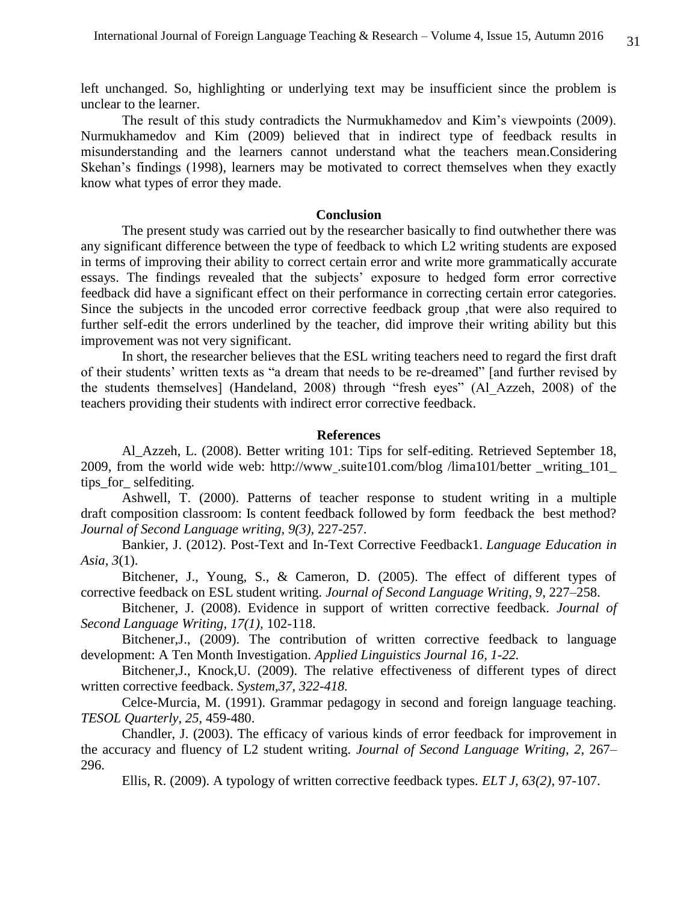left unchanged. So, highlighting or underlying text may be insufficient since the problem is unclear to the learner.

 The result of this study contradicts the Nurmukhamedov and Kim's viewpoints (2009). Nurmukhamedov and Kim (2009) believed that in indirect type of feedback results in misunderstanding and the learners cannot understand what the teachers mean.Considering Skehan's findings (1998), learners may be motivated to correct themselves when they exactly know what types of error they made.

## **Conclusion**

 The present study was carried out by the researcher basically to find outwhether there was any significant difference between the type of feedback to which L2 writing students are exposed in terms of improving their ability to correct certain error and write more grammatically accurate essays. The findings revealed that the subjects' exposure to hedged form error corrective feedback did have a significant effect on their performance in correcting certain error categories. Since the subjects in the uncoded error corrective feedback group ,that were also required to further self-edit the errors underlined by the teacher, did improve their writing ability but this improvement was not very significant.

In short, the researcher believes that the ESL writing teachers need to regard the first draft of their students' written texts as "a dream that needs to be re-dreamed" [and further revised by the students themselves] (Handeland, 2008) through "fresh eyes" (Al\_Azzeh, 2008) of the teachers providing their students with indirect error corrective feedback.

#### **References**

Al\_Azzeh, L. (2008). Better writing 101: Tips for self-editing. Retrieved September 18, 2009, from the world wide web: [http://www](http://www/) .suite101.com/blog /lima101/better \_writing\_101\_ tips\_for\_ selfediting.

Ashwell, T. (2000). Patterns of teacher response to student writing in a multiple draft composition classroom: Is content feedback followed by form feedback the best method? *Journal of Second Language writing, 9(3),* 227-257.

Bankier, J. (2012). Post-Text and In-Text Corrective Feedback1. *Language Education in Asia*, *3*(1).

Bitchener, J., Young, S., & Cameron, D. (2005). The effect of different types of corrective feedback on ESL student writing. *Journal of Second Language Writing*, *9*, 227–258.

Bitchener, J. (2008). Evidence in support of written corrective feedback. *Journal of Second Language Writing*, *17(1),* 102-118.

Bitchener,J., (2009). The contribution of written corrective feedback to language development: A Ten Month Investigation. *Applied Linguistics Journal 16, 1-22.*

Bitchener,J., Knock,U. (2009). The relative effectiveness of different types of direct written corrective feedback. *System,37, 322-418.*

Celce-Murcia, M. (1991). Grammar pedagogy in second and foreign language teaching. *TESOL Quarterly*, *25*, 459-480.

Chandler, J. (2003). The efficacy of various kinds of error feedback for improvement in the accuracy and fluency of L2 student writing. *Journal of Second Language Writing*, *2*, 267– 296.

Ellis, R. (2009). A typology of written corrective feedback types. *ELT J, 63(2)*, 97-107.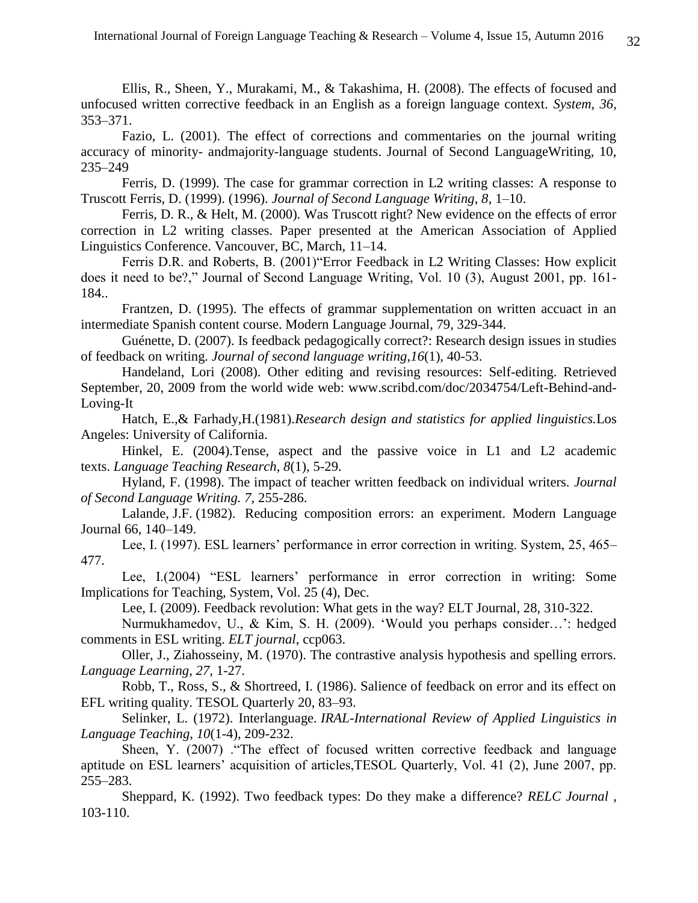Ellis, R., Sheen, Y., Murakami, M., & Takashima, H. (2008). The effects of focused and unfocused written corrective feedback in an English as a foreign language context. *System*, *36,*  353–371.

Fazio, L. (2001). The effect of corrections and commentaries on the journal writing accuracy of minority- andmajority-language students. Journal of Second LanguageWriting, 10, 235–249

Ferris, D. (1999). The case for grammar correction in L2 writing classes: A response to Truscott Ferris, D. (1999). (1996). *Journal of Second Language Writing, 8*, 1–10.

Ferris, D. R., & Helt, M. (2000). Was Truscott right? New evidence on the effects of error correction in L2 writing classes. Paper presented at the American Association of Applied Linguistics Conference. Vancouver, BC, March, 11–14.

Ferris D.R. and Roberts, B. (2001)"Error Feedback in L2 Writing Classes: How explicit does it need to be?," Journal of Second Language Writing, Vol. 10 (3), August 2001, pp. 161- 184..

Frantzen, D. (1995). The effects of grammar supplementation on written accuact in an intermediate Spanish content course. Modern Language Journal, 79, 329-344.

Guénette, D. (2007). Is feedback pedagogically correct?: Research design issues in studies of feedback on writing. *Journal of second language writing*,*16*(1), 40-53.

Handeland, Lori (2008). Other editing and revising resources: Self-editing. Retrieved September, 20, 2009 from the world wide web: www.scribd.com/doc/2034754/Left-Behind-and-Loving-It

Hatch, E.,& Farhady,H.(1981).*Research design and statistics for applied linguistics.*Los Angeles: University of California.

Hinkel, E. (2004).Tense, aspect and the passive voice in L1 and L2 academic texts. *Language Teaching Research*, *8*(1), 5-29.

Hyland, F. (1998). The impact of teacher written feedback on individual writers. *Journal of Second Language Writing. 7,* 255-286.

Lalande, J.F. (1982). Reducing composition errors: an experiment. Modern Language Journal 66, 140–149.

Lee, I. (1997). ESL learners' performance in error correction in writing. System, 25, 465– 477.

Lee, I.(2004) "ESL learners' performance in error correction in writing: Some Implications for Teaching, System, Vol. 25 (4), Dec.

Lee, I. (2009). Feedback revolution: What gets in the way? ELT Journal, 28, 310-322.

 Nurmukhamedov, U., & Kim, S. H. (2009). 'Would you perhaps consider…': hedged comments in ESL writing. *ELT journal*, ccp063.

Oller, J., Ziahosseiny, M. (1970). The contrastive analysis hypothesis and spelling errors. *Language Learning, 27,* 1-27.

Robb, T., Ross, S., & Shortreed, I. (1986). Salience of feedback on error and its effect on EFL writing quality. TESOL Quarterly 20, 83–93.

Selinker, L. (1972). Interlanguage. *IRAL-International Review of Applied Linguistics in Language Teaching*, *10*(1-4), 209-232.

Sheen, Y. (2007) ."The effect of focused written corrective feedback and language aptitude on ESL learners' acquisition of articles,TESOL Quarterly, Vol. 41 (2), June 2007, pp. 255–283.

Sheppard, K. (1992). Two feedback types: Do they make a difference? *RELC Journal* , 103-110.